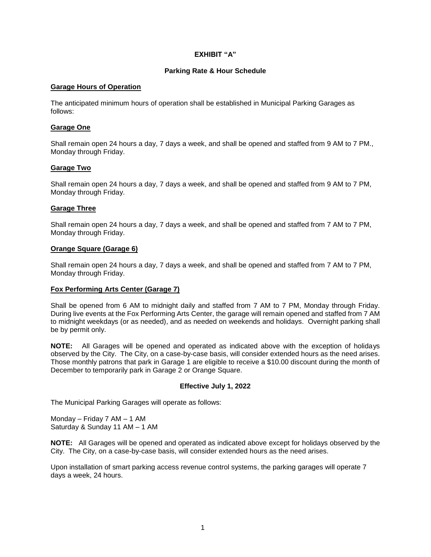# **EXHIBIT "A"**

#### **Parking Rate & Hour Schedule**

#### **Garage Hours of Operation**

The anticipated minimum hours of operation shall be established in Municipal Parking Garages as follows:

### **Garage One**

Shall remain open 24 hours a day, 7 days a week, and shall be opened and staffed from 9 AM to 7 PM., Monday through Friday.

# **Garage Two**

Shall remain open 24 hours a day, 7 days a week, and shall be opened and staffed from 9 AM to 7 PM, Monday through Friday.

# **Garage Three**

Shall remain open 24 hours a day, 7 days a week, and shall be opened and staffed from 7 AM to 7 PM, Monday through Friday.

# **Orange Square (Garage 6)**

Shall remain open 24 hours a day, 7 days a week, and shall be opened and staffed from 7 AM to 7 PM, Monday through Friday.

# **Fox Performing Arts Center (Garage 7)**

Shall be opened from 6 AM to midnight daily and staffed from 7 AM to 7 PM, Monday through Friday. During live events at the Fox Performing Arts Center, the garage will remain opened and staffed from 7 AM to midnight weekdays (or as needed), and as needed on weekends and holidays. Overnight parking shall be by permit only.

**NOTE:** All Garages will be opened and operated as indicated above with the exception of holidays observed by the City. The City, on a case-by-case basis, will consider extended hours as the need arises. Those monthly patrons that park in Garage 1 are eligible to receive a \$10.00 discount during the month of December to temporarily park in Garage 2 or Orange Square.

#### **Effective July 1, 2022**

The Municipal Parking Garages will operate as follows:

Monday – Friday 7 AM – 1 AM Saturday & Sunday 11 AM – 1 AM

**NOTE:** All Garages will be opened and operated as indicated above except for holidays observed by the City. The City, on a case-by-case basis, will consider extended hours as the need arises.

Upon installation of smart parking access revenue control systems, the parking garages will operate 7 days a week, 24 hours.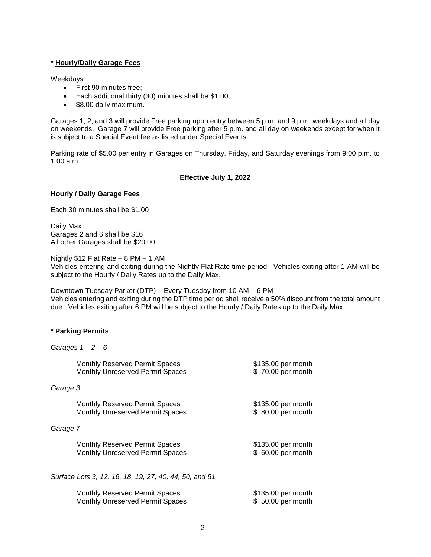### **\* Hourly/Daily Garage Fees**

Weekdays:

- First 90 minutes free;
- **Each additional thirty (30) minutes shall be \$1.00;**
- \$8.00 daily maximum.

Garages 1, 2, and 3 will provide Free parking upon entry between 5 p.m. and 9 p.m. weekdays and all day on weekends. Garage 7 will provide Free parking after 5 p.m. and all day on weekends except for when it is subject to a Special Event fee as listed under Special Events.

Parking rate of \$5.00 per entry in Garages on Thursday, Friday, and Saturday evenings from 9:00 p.m. to 1:00 a.m.

# **Effective July 1, 2022**

# **Hourly / Daily Garage Fees**

Each 30 minutes shall be \$1.00

Daily Max Garages 2 and 6 shall be \$16 All other Garages shall be \$20.00

Nightly \$12 Flat Rate – 8 PM – 1 AM

Vehicles entering and exiting during the Nightly Flat Rate time period. Vehicles exiting after 1 AM will be subject to the Hourly / Daily Rates up to the Daily Max.

Downtown Tuesday Parker (DTP) – Every Tuesday from 10 AM – 6 PM Vehicles entering and exiting during the DTP time period shall receive a 50% discount from the total amount due. Vehicles exiting after 6 PM will be subject to the Hourly / Daily Rates up to the Daily Max.

# **\* Parking Permits**

|          | Garages $1 - 2 - 6$                                                       |                                          |
|----------|---------------------------------------------------------------------------|------------------------------------------|
|          | Monthly Reserved Permit Spaces<br><b>Monthly Unreserved Permit Spaces</b> | \$135.00 per month<br>\$70.00 per month  |
| Garage 3 |                                                                           |                                          |
|          | Monthly Reserved Permit Spaces<br>Monthly Unreserved Permit Spaces        | \$135.00 per month<br>\$ 80.00 per month |
| Garage 7 |                                                                           |                                          |
|          | Monthly Reserved Permit Spaces<br><b>Monthly Unreserved Permit Spaces</b> | \$135.00 per month<br>\$ 60.00 per month |
|          | Surface Lots 3, 12, 16, 18, 19, 27, 40, 44, 50, and 51                    |                                          |
|          | Monthly Reserved Permit Spaces<br><b>Monthly Unreserved Permit Spaces</b> | \$135.00 per month<br>\$50.00 per month  |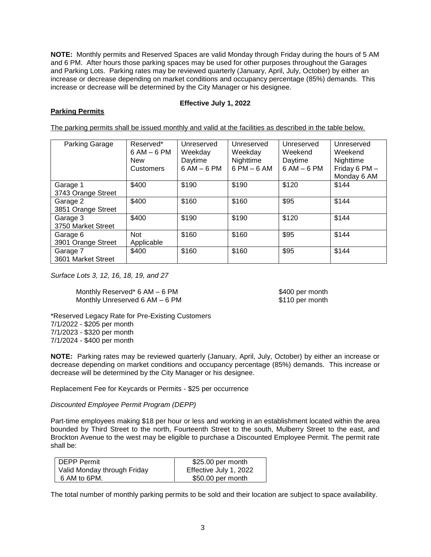**NOTE:** Monthly permits and Reserved Spaces are valid Monday through Friday during the hours of 5 AM and 6 PM. After hours those parking spaces may be used for other purposes throughout the Garages and Parking Lots. Parking rates may be reviewed quarterly (January, April, July, October) by either an increase or decrease depending on market conditions and occupancy percentage (85%) demands. This increase or decrease will be determined by the City Manager or his designee.

# **Effective July 1, 2022**

# **Parking Permits**

The parking permits shall be issued monthly and valid at the facilities as described in the table below.

| Parking Garage                 | Reserved*<br>$6 AM - 6 PM$<br><b>New</b><br><b>Customers</b> | Unreserved<br>Weekday<br>Daytime<br>$6 AM - 6 PM$ | Unreserved<br>Weekday<br>Nighttime<br>$6$ PM $-6$ AM | Unreserved<br>Weekend<br>Daytime<br>$6AM - 6PM$ | Unreserved<br>Weekend<br>Nighttime<br>Friday 6 PM -<br>Monday 6 AM |
|--------------------------------|--------------------------------------------------------------|---------------------------------------------------|------------------------------------------------------|-------------------------------------------------|--------------------------------------------------------------------|
| Garage 1<br>3743 Orange Street | \$400                                                        | \$190                                             | \$190                                                | \$120                                           | \$144                                                              |
| Garage 2<br>3851 Orange Street | \$400                                                        | \$160                                             | \$160                                                | \$95                                            | \$144                                                              |
| Garage 3<br>3750 Market Street | \$400                                                        | \$190                                             | \$190                                                | \$120                                           | \$144                                                              |
| Garage 6<br>3901 Orange Street | <b>Not</b><br>Applicable                                     | \$160                                             | \$160                                                | \$95                                            | \$144                                                              |
| Garage 7<br>3601 Market Street | \$400                                                        | \$160                                             | \$160                                                | \$95                                            | \$144                                                              |

*Surface Lots 3, 12, 16, 18, 19, and 27* 

Monthly Reserved\* 6 AM – 6 PM  $$400$  per month Monthly Unreserved 6 AM – 6 PM  $\frac{1}{10}$  \$110 per month

\*Reserved Legacy Rate for Pre-Existing Customers 7/1/2022 - \$205 per month 7/1/2023 - \$320 per month 7/1/2024 - \$400 per month

**NOTE:** Parking rates may be reviewed quarterly (January, April, July, October) by either an increase or decrease depending on market conditions and occupancy percentage (85%) demands. This increase or decrease will be determined by the City Manager or his designee.

Replacement Fee for Keycards or Permits - \$25 per occurrence

# *Discounted Employee Permit Program (DEPP)*

Part-time employees making \$18 per hour or less and working in an establishment located within the area bounded by Third Street to the north, Fourteenth Street to the south, Mulberry Street to the east, and Brockton Avenue to the west may be eligible to purchase a Discounted Employee Permit. The permit rate shall be:

| DEPP Permit                 | $$25.00$ per month     |
|-----------------------------|------------------------|
| Valid Monday through Friday | Effective July 1, 2022 |
| 6 AM to 6PM.                | \$50.00 per month      |

The total number of monthly parking permits to be sold and their location are subject to space availability.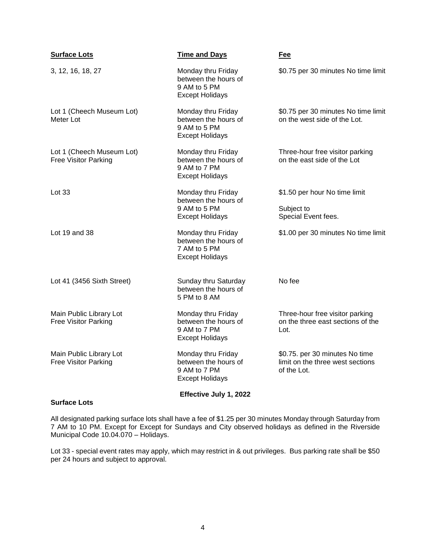| <b>Surface Lots</b>                                    | <b>Time and Days</b>                                                                 | Fee                                                                               |
|--------------------------------------------------------|--------------------------------------------------------------------------------------|-----------------------------------------------------------------------------------|
| 3, 12, 16, 18, 27                                      | Monday thru Friday<br>between the hours of<br>9 AM to 5 PM<br><b>Except Holidays</b> | \$0.75 per 30 minutes No time limit                                               |
| Lot 1 (Cheech Museum Lot)<br>Meter Lot                 | Monday thru Friday<br>between the hours of<br>9 AM to 5 PM<br><b>Except Holidays</b> | \$0.75 per 30 minutes No time limit<br>on the west side of the Lot.               |
| Lot 1 (Cheech Museum Lot)<br>Free Visitor Parking      | Monday thru Friday<br>between the hours of<br>9 AM to 7 PM<br><b>Except Holidays</b> | Three-hour free visitor parking<br>on the east side of the Lot                    |
| Lot 33                                                 | Monday thru Friday<br>between the hours of                                           | \$1.50 per hour No time limit                                                     |
|                                                        | 9 AM to 5 PM<br><b>Except Holidays</b>                                               | Subject to<br>Special Event fees.                                                 |
| Lot 19 and 38                                          | Monday thru Friday<br>between the hours of<br>7 AM to 5 PM<br><b>Except Holidays</b> | \$1.00 per 30 minutes No time limit                                               |
| Lot 41 (3456 Sixth Street)                             | Sunday thru Saturday<br>between the hours of<br>5 PM to 8 AM                         | No fee                                                                            |
| Main Public Library Lot<br><b>Free Visitor Parking</b> | Monday thru Friday<br>between the hours of<br>9 AM to 7 PM<br><b>Except Holidays</b> | Three-hour free visitor parking<br>on the three east sections of the<br>Lot.      |
| Main Public Library Lot<br>Free Visitor Parking        | Monday thru Friday<br>between the hours of<br>9 AM to 7 PM<br><b>Except Holidays</b> | \$0.75. per 30 minutes No time<br>limit on the three west sections<br>of the Lot. |
| <b>Surface Lots</b>                                    | Effective July 1, 2022                                                               |                                                                                   |

All designated parking surface lots shall have a fee of \$1.25 per 30 minutes Monday through Saturday from 7 AM to 10 PM. Except for Except for Sundays and City observed holidays as defined in the Riverside

Municipal Code 10.04.070 – Holidays.

Lot 33 - special event rates may apply, which may restrict in & out privileges. Bus parking rate shall be \$50 per 24 hours and subject to approval.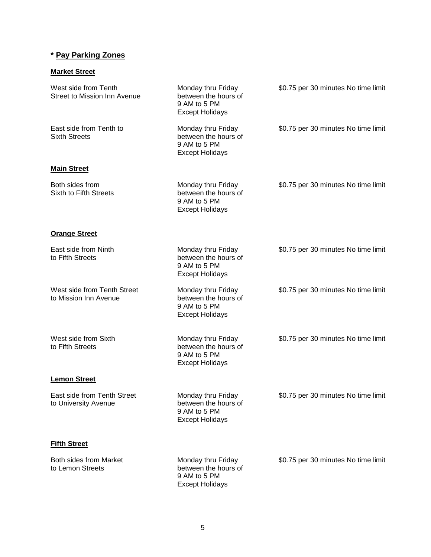# **\* Pay Parking Zones**

# **Market Street**

| West side from Tenth<br><b>Street to Mission Inn Avenue</b> | Monday thru Friday<br>between the hours of<br>9 AM to 5 PM<br><b>Except Holidays</b> | \$0.75 per 30 minutes No time limit |
|-------------------------------------------------------------|--------------------------------------------------------------------------------------|-------------------------------------|
| East side from Tenth to<br><b>Sixth Streets</b>             | Monday thru Friday<br>between the hours of<br>9 AM to 5 PM<br><b>Except Holidays</b> | \$0.75 per 30 minutes No time limit |
| <b>Main Street</b>                                          |                                                                                      |                                     |
| Both sides from<br>Sixth to Fifth Streets                   | Monday thru Friday<br>between the hours of<br>9 AM to 5 PM<br><b>Except Holidays</b> | \$0.75 per 30 minutes No time limit |
| <b>Orange Street</b>                                        |                                                                                      |                                     |
| East side from Ninth<br>to Fifth Streets                    | Monday thru Friday<br>between the hours of<br>9 AM to 5 PM<br><b>Except Holidays</b> | \$0.75 per 30 minutes No time limit |
| West side from Tenth Street<br>to Mission Inn Avenue        | Monday thru Friday<br>between the hours of<br>9 AM to 5 PM<br><b>Except Holidays</b> | \$0.75 per 30 minutes No time limit |
| West side from Sixth<br>to Fifth Streets                    | Monday thru Friday<br>between the hours of<br>9 AM to 5 PM<br><b>Except Holidays</b> | \$0.75 per 30 minutes No time limit |
| <b>Lemon Street</b>                                         |                                                                                      |                                     |
| East side from Tenth Street<br>to University Avenue         | Monday thru Friday<br>between the hours of<br>9 AM to 5 PM<br><b>Except Holidays</b> | \$0.75 per 30 minutes No time limit |
| <b>Fifth Street</b>                                         |                                                                                      |                                     |
| Both sides from Market<br>to Lemon Streets                  | Monday thru Friday<br>between the hours of<br>9 AM to 5 PM<br><b>Except Holidays</b> | \$0.75 per 30 minutes No time limit |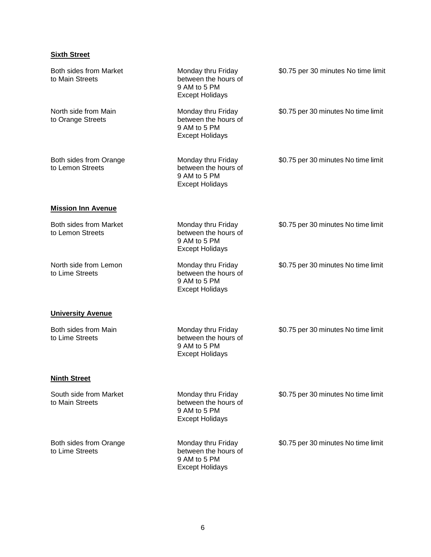# **Sixth Street**

| <b>Both sides from Market</b><br>to Main Streets | Monday thru Friday<br>between the hours of<br>9 AM to 5 PM<br><b>Except Holidays</b> | \$0.75 per 30 minutes No time limit |
|--------------------------------------------------|--------------------------------------------------------------------------------------|-------------------------------------|
| North side from Main<br>to Orange Streets        | Monday thru Friday<br>between the hours of<br>9 AM to 5 PM<br><b>Except Holidays</b> | \$0.75 per 30 minutes No time limit |
| Both sides from Orange<br>to Lemon Streets       | Monday thru Friday<br>between the hours of<br>9 AM to 5 PM<br><b>Except Holidays</b> | \$0.75 per 30 minutes No time limit |
| <b>Mission Inn Avenue</b>                        |                                                                                      |                                     |
| Both sides from Market<br>to Lemon Streets       | Monday thru Friday<br>between the hours of<br>9 AM to 5 PM<br><b>Except Holidays</b> | \$0.75 per 30 minutes No time limit |
| North side from Lemon<br>to Lime Streets         | Monday thru Friday<br>between the hours of<br>9 AM to 5 PM<br><b>Except Holidays</b> | \$0.75 per 30 minutes No time limit |
| <b>University Avenue</b>                         |                                                                                      |                                     |
| Both sides from Main<br>to Lime Streets          | Monday thru Friday<br>between the hours of<br>9 AM to 5 PM<br><b>Except Holidays</b> | \$0.75 per 30 minutes No time limit |
| <b>Ninth Street</b>                              |                                                                                      |                                     |
| South side from Market<br>to Main Streets        | Monday thru Friday<br>between the hours of<br>9 AM to 5 PM<br><b>Except Holidays</b> | \$0.75 per 30 minutes No time limit |
| Both sides from Orange<br>to Lime Streets        | Monday thru Friday<br>between the hours of<br>9 AM to 5 PM<br><b>Except Holidays</b> | \$0.75 per 30 minutes No time limit |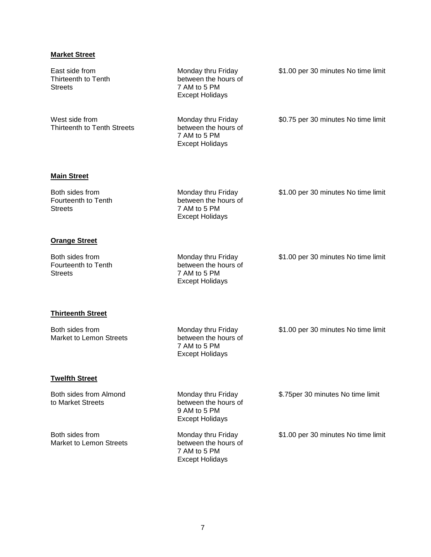# **Market Street**

| East side from<br>Thirteenth to Tenth<br><b>Streets</b>  | Monday thru Friday<br>between the hours of<br>7 AM to 5 PM<br><b>Except Holidays</b> | \$1.00 per 30 minutes No time limit |
|----------------------------------------------------------|--------------------------------------------------------------------------------------|-------------------------------------|
| West side from<br>Thirteenth to Tenth Streets            | Monday thru Friday<br>between the hours of<br>7 AM to 5 PM<br><b>Except Holidays</b> | \$0.75 per 30 minutes No time limit |
| <b>Main Street</b>                                       |                                                                                      |                                     |
| Both sides from<br>Fourteenth to Tenth<br><b>Streets</b> | Monday thru Friday<br>between the hours of<br>7 AM to 5 PM<br><b>Except Holidays</b> | \$1.00 per 30 minutes No time limit |
| <b>Orange Street</b>                                     |                                                                                      |                                     |
| Both sides from<br>Fourteenth to Tenth<br><b>Streets</b> | Monday thru Friday<br>between the hours of<br>7 AM to 5 PM<br><b>Except Holidays</b> | \$1.00 per 30 minutes No time limit |
| <b>Thirteenth Street</b>                                 |                                                                                      |                                     |
| Both sides from<br><b>Market to Lemon Streets</b>        | Monday thru Friday<br>between the hours of<br>7 AM to 5 PM<br><b>Except Holidays</b> | \$1.00 per 30 minutes No time limit |
| <b>Twelfth Street</b>                                    |                                                                                      |                                     |
| Both sides from Almond<br>to Market Streets              | Monday thru Friday<br>between the hours of<br>9 AM to 5 PM<br><b>Except Holidays</b> | \$.75 per 30 minutes No time limit  |
| Both sides from<br><b>Market to Lemon Streets</b>        | Monday thru Friday<br>between the hours of<br>7 AM to 5 PM<br><b>Except Holidays</b> | \$1.00 per 30 minutes No time limit |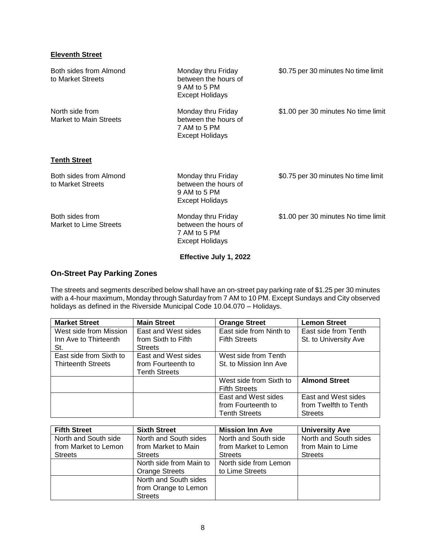# **Eleventh Street**

| Both sides from Almond<br>to Market Streets      | Monday thru Friday<br>between the hours of<br>9 AM to 5 PM<br><b>Except Holidays</b> | \$0.75 per 30 minutes No time limit |
|--------------------------------------------------|--------------------------------------------------------------------------------------|-------------------------------------|
| North side from<br><b>Market to Main Streets</b> | Monday thru Friday<br>between the hours of<br>7 AM to 5 PM<br>Except Holidays        | \$1.00 per 30 minutes No time limit |
| <b>Tenth Street</b>                              |                                                                                      |                                     |
| Both sides from Almond<br>to Market Streets      | Monday thru Friday<br>between the hours of<br>9 AM to 5 PM<br><b>Except Holidays</b> | \$0.75 per 30 minutes No time limit |
| Both sides from<br><b>Market to Lime Streets</b> | Monday thru Friday<br>between the hours of<br>7 AM to 5 PM<br>Except Holidays        | \$1.00 per 30 minutes No time limit |

**Effective July 1, 2022**

# **On-Street Pay Parking Zones**

The streets and segments described below shall have an on-street pay parking rate of \$1.25 per 30 minutes with a 4-hour maximum, Monday through Saturday from 7 AM to 10 PM. Except Sundays and City observed holidays as defined in the Riverside Municipal Code 10.04.070 – Holidays.

| <b>Market Street</b>      | <b>Main Street</b>   | <b>Orange Street</b>    | <b>Lemon Street</b>   |
|---------------------------|----------------------|-------------------------|-----------------------|
| West side from Mission    | East and West sides  | East side from Ninth to | East side from Tenth  |
| Inn Ave to Thirteenth     | from Sixth to Fifth  | <b>Fifth Streets</b>    | St. to University Ave |
| St.                       | <b>Streets</b>       |                         |                       |
| East side from Sixth to   | East and West sides  | West side from Tenth    |                       |
| <b>Thirteenth Streets</b> | from Fourteenth to   | St. to Mission Inn Ave  |                       |
|                           | <b>Tenth Streets</b> |                         |                       |
|                           |                      | West side from Sixth to | <b>Almond Street</b>  |
|                           |                      | <b>Fifth Streets</b>    |                       |
|                           |                      | East and West sides     | East and West sides   |
|                           |                      | from Fourteenth to      | from Twelfth to Tenth |
|                           |                      | <b>Tenth Streets</b>    | <b>Streets</b>        |

| <b>Fifth Street</b>  | <b>Sixth Street</b>     | <b>Mission Inn Ave</b> | <b>University Ave</b> |
|----------------------|-------------------------|------------------------|-----------------------|
| North and South side | North and South sides   | North and South side   | North and South sides |
| from Market to Lemon | from Market to Main     | from Market to Lemon   | from Main to Lime     |
| <b>Streets</b>       | <b>Streets</b>          | <b>Streets</b>         | <b>Streets</b>        |
|                      | North side from Main to | North side from Lemon  |                       |
|                      | <b>Orange Streets</b>   | to Lime Streets        |                       |
|                      | North and South sides   |                        |                       |
|                      | from Orange to Lemon    |                        |                       |
|                      | <b>Streets</b>          |                        |                       |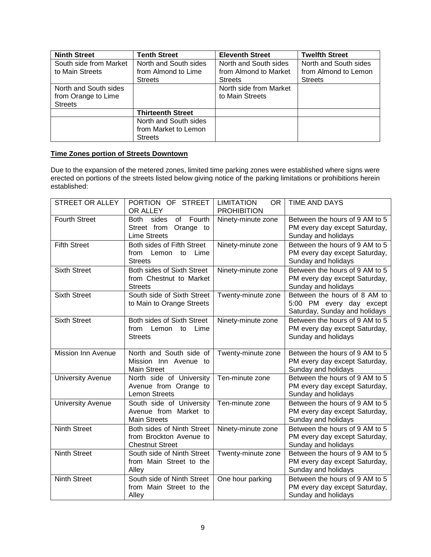| <b>Ninth Street</b>    | <b>Tenth Street</b>      | <b>Eleventh Street</b> | <b>Twelfth Street</b> |
|------------------------|--------------------------|------------------------|-----------------------|
| South side from Market | North and South sides    | North and South sides  | North and South sides |
| to Main Streets        | from Almond to Lime      | from Almond to Market  | from Almond to Lemon  |
|                        | <b>Streets</b>           | <b>Streets</b>         | <b>Streets</b>        |
| North and South sides  |                          | North side from Market |                       |
| from Orange to Lime    |                          | to Main Streets        |                       |
| <b>Streets</b>         |                          |                        |                       |
|                        | <b>Thirteenth Street</b> |                        |                       |
|                        | North and South sides    |                        |                       |
|                        | from Market to Lemon     |                        |                       |
|                        | <b>Streets</b>           |                        |                       |

# **Time Zones portion of Streets Downtown**

Due to the expansion of the metered zones, limited time parking zones were established where signs were erected on portions of the streets listed below giving notice of the parking limitations or prohibitions herein established:

| <b>STREET OR ALLEY</b>   | PORTION OF STREET<br>OR ALLEY                                                    | <b>LIMITATION</b><br>OR.<br><b>PROHIBITION</b> | <b>TIME AND DAYS</b>                                                                      |
|--------------------------|----------------------------------------------------------------------------------|------------------------------------------------|-------------------------------------------------------------------------------------------|
| <b>Fourth Street</b>     | sides<br>of<br>Fourth<br>Both<br>Street from<br>Orange to<br><b>Lime Streets</b> | Ninety-minute zone                             | Between the hours of 9 AM to 5<br>PM every day except Saturday,<br>Sunday and holidays    |
| <b>Fifth Street</b>      | Both sides of Fifth Street<br>to Lime<br>from Lemon<br><b>Streets</b>            | Ninety-minute zone                             | Between the hours of 9 AM to 5<br>PM every day except Saturday,<br>Sunday and holidays    |
| <b>Sixth Street</b>      | Both sides of Sixth Street<br>from Chestnut to Market<br><b>Streets</b>          | Ninety-minute zone                             | Between the hours of 9 AM to 5<br>PM every day except Saturday,<br>Sunday and holidays    |
| <b>Sixth Street</b>      | South side of Sixth Street<br>to Main to Orange Streets                          | Twenty-minute zone                             | Between the hours of 8 AM to<br>5:00 PM every day except<br>Saturday, Sunday and holidays |
| <b>Sixth Street</b>      | Both sides of Sixth Street<br>from<br>Lemon<br>to<br>Lime<br><b>Streets</b>      | Ninety-minute zone                             | Between the hours of 9 AM to 5<br>PM every day except Saturday,<br>Sunday and holidays    |
| Mission Inn Avenue       | North and South side of<br>Mission Inn Avenue to<br><b>Main Street</b>           | Twenty-minute zone                             | Between the hours of 9 AM to 5<br>PM every day except Saturday,<br>Sunday and holidays    |
| <b>University Avenue</b> | North side of University<br>Avenue from Orange to<br><b>Lemon Streets</b>        | Ten-minute zone                                | Between the hours of 9 AM to 5<br>PM every day except Saturday,<br>Sunday and holidays    |
| <b>University Avenue</b> | South side of University<br>Avenue from Market to<br><b>Main Streets</b>         | Ten-minute zone                                | Between the hours of 9 AM to 5<br>PM every day except Saturday,<br>Sunday and holidays    |
| <b>Ninth Street</b>      | Both sides of Ninth Street<br>from Brockton Avenue to<br><b>Chestnut Street</b>  | Ninety-minute zone                             | Between the hours of 9 AM to 5<br>PM every day except Saturday,<br>Sunday and holidays    |
| Ninth Street             | South side of Ninth Street<br>from Main Street to the<br>Alley                   | Twenty-minute zone                             | Between the hours of 9 AM to 5<br>PM every day except Saturday,<br>Sunday and holidays    |
| <b>Ninth Street</b>      | South side of Ninth Street<br>from Main Street to the<br>Alley                   | One hour parking                               | Between the hours of 9 AM to 5<br>PM every day except Saturday,<br>Sunday and holidays    |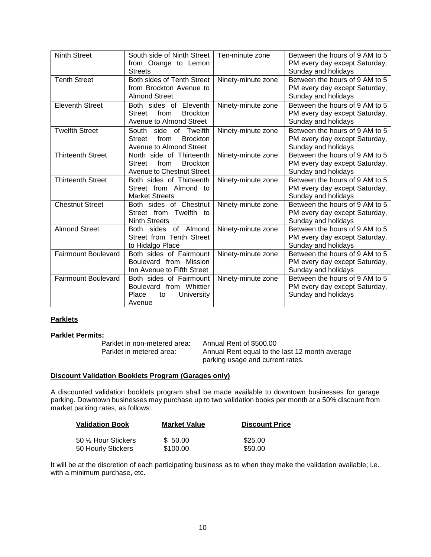| <b>Ninth Street</b>        | South side of Ninth Street   Ten-minute zone<br>from Orange to Lemon<br><b>Streets</b>            |                    | Between the hours of 9 AM to 5<br>PM every day except Saturday,<br>Sunday and holidays |
|----------------------------|---------------------------------------------------------------------------------------------------|--------------------|----------------------------------------------------------------------------------------|
| <b>Tenth Street</b>        | Both sides of Tenth Street<br>from Brockton Avenue to<br><b>Almond Street</b>                     | Ninety-minute zone | Between the hours of 9 AM to 5<br>PM every day except Saturday,<br>Sunday and holidays |
| <b>Eleventh Street</b>     | Both sides of Eleventh<br>Street<br>from<br><b>Brockton</b><br>Avenue to Almond Street            | Ninety-minute zone | Between the hours of 9 AM to 5<br>PM every day except Saturday,<br>Sunday and holidays |
| <b>Twelfth Street</b>      | South side of Twelfth<br>from<br><b>Brockton</b><br>Street<br>Avenue to Almond Street             | Ninety-minute zone | Between the hours of 9 AM to 5<br>PM every day except Saturday,<br>Sunday and holidays |
| Thirteenth Street          | North side of Thirteenth<br><b>Brockton</b><br>from<br><b>Street</b><br>Avenue to Chestnut Street | Ninety-minute zone | Between the hours of 9 AM to 5<br>PM every day except Saturday,<br>Sunday and holidays |
| <b>Thirteenth Street</b>   | Both sides of Thirteenth<br>Street from Almond to<br><b>Market Streets</b>                        | Ninety-minute zone | Between the hours of 9 AM to 5<br>PM every day except Saturday,<br>Sunday and holidays |
| <b>Chestnut Street</b>     | Both sides of Chestnut<br>Street from Twelfth to<br><b>Ninth Streets</b>                          | Ninety-minute zone | Between the hours of 9 AM to 5<br>PM every day except Saturday,<br>Sunday and holidays |
| <b>Almond Street</b>       | sides of Almond<br>Both<br>Street from Tenth Street<br>to Hidalgo Place                           | Ninety-minute zone | Between the hours of 9 AM to 5<br>PM every day except Saturday,<br>Sunday and holidays |
| <b>Fairmount Boulevard</b> | Both sides of Fairmount<br>Boulevard from Mission<br>Inn Avenue to Fifth Street                   | Ninety-minute zone | Between the hours of 9 AM to 5<br>PM every day except Saturday,<br>Sunday and holidays |
| <b>Fairmount Boulevard</b> | Both sides of Fairmount<br>Boulevard from Whittier<br>University<br>Place<br>to<br>Avenue         | Ninety-minute zone | Between the hours of 9 AM to 5<br>PM every day except Saturday,<br>Sunday and holidays |

### **Parklets**

# **Parklet Permits:**

Parklet in non-metered area: Annual Rent of \$500.00

Parklet in metered area: Annual Rent equal to the last 12 month average parking usage and current rates.

#### **Discount Validation Booklets Program (Garages only)**

A discounted validation booklets program shall be made available to downtown businesses for garage parking. Downtown businesses may purchase up to two validation books per month at a 50% discount from market parking rates, as follows:

| <b>Validation Book</b> | <b>Market Value</b> | <b>Discount Price</b> |
|------------------------|---------------------|-----------------------|
| 50 1/2 Hour Stickers   | \$ 50.00            | \$25.00               |
| 50 Hourly Stickers     | \$100.00            | \$50.00               |

It will be at the discretion of each participating business as to when they make the validation available; i.e. with a minimum purchase, etc.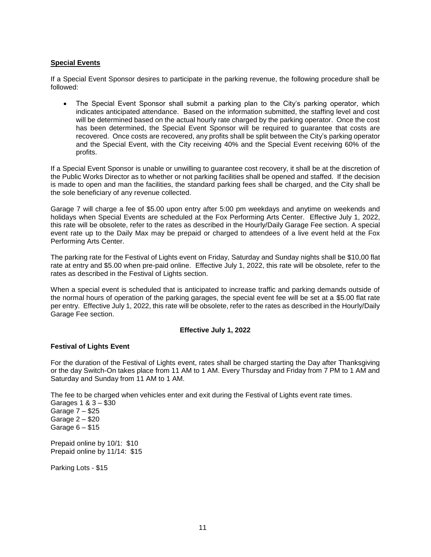### **Special Events**

If a Special Event Sponsor desires to participate in the parking revenue, the following procedure shall be followed:

 The Special Event Sponsor shall submit a parking plan to the City's parking operator, which indicates anticipated attendance. Based on the information submitted, the staffing level and cost will be determined based on the actual hourly rate charged by the parking operator. Once the cost has been determined, the Special Event Sponsor will be required to guarantee that costs are recovered. Once costs are recovered, any profits shall be split between the City's parking operator and the Special Event, with the City receiving 40% and the Special Event receiving 60% of the profits.

If a Special Event Sponsor is unable or unwilling to guarantee cost recovery, it shall be at the discretion of the Public Works Director as to whether or not parking facilities shall be opened and staffed. If the decision is made to open and man the facilities, the standard parking fees shall be charged, and the City shall be the sole beneficiary of any revenue collected.

Garage 7 will charge a fee of \$5.00 upon entry after 5:00 pm weekdays and anytime on weekends and holidays when Special Events are scheduled at the Fox Performing Arts Center. Effective July 1, 2022, this rate will be obsolete, refer to the rates as described in the Hourly/Daily Garage Fee section. A special event rate up to the Daily Max may be prepaid or charged to attendees of a live event held at the Fox Performing Arts Center.

The parking rate for the Festival of Lights event on Friday, Saturday and Sunday nights shall be \$10,00 flat rate at entry and \$5.00 when pre-paid online. Effective July 1, 2022, this rate will be obsolete, refer to the rates as described in the Festival of Lights section.

When a special event is scheduled that is anticipated to increase traffic and parking demands outside of the normal hours of operation of the parking garages, the special event fee will be set at a \$5.00 flat rate per entry. Effective July 1, 2022, this rate will be obsolete, refer to the rates as described in the Hourly/Daily Garage Fee section.

#### **Effective July 1, 2022**

#### **Festival of Lights Event**

For the duration of the Festival of Lights event, rates shall be charged starting the Day after Thanksgiving or the day Switch-On takes place from 11 AM to 1 AM. Every Thursday and Friday from 7 PM to 1 AM and Saturday and Sunday from 11 AM to 1 AM.

The fee to be charged when vehicles enter and exit during the Festival of Lights event rate times.

Garages 1 & 3 – \$30 Garage 7 – \$25 Garage 2 – \$20 Garage 6 – \$15

Prepaid online by 10/1: \$10 Prepaid online by 11/14: \$15

Parking Lots - \$15